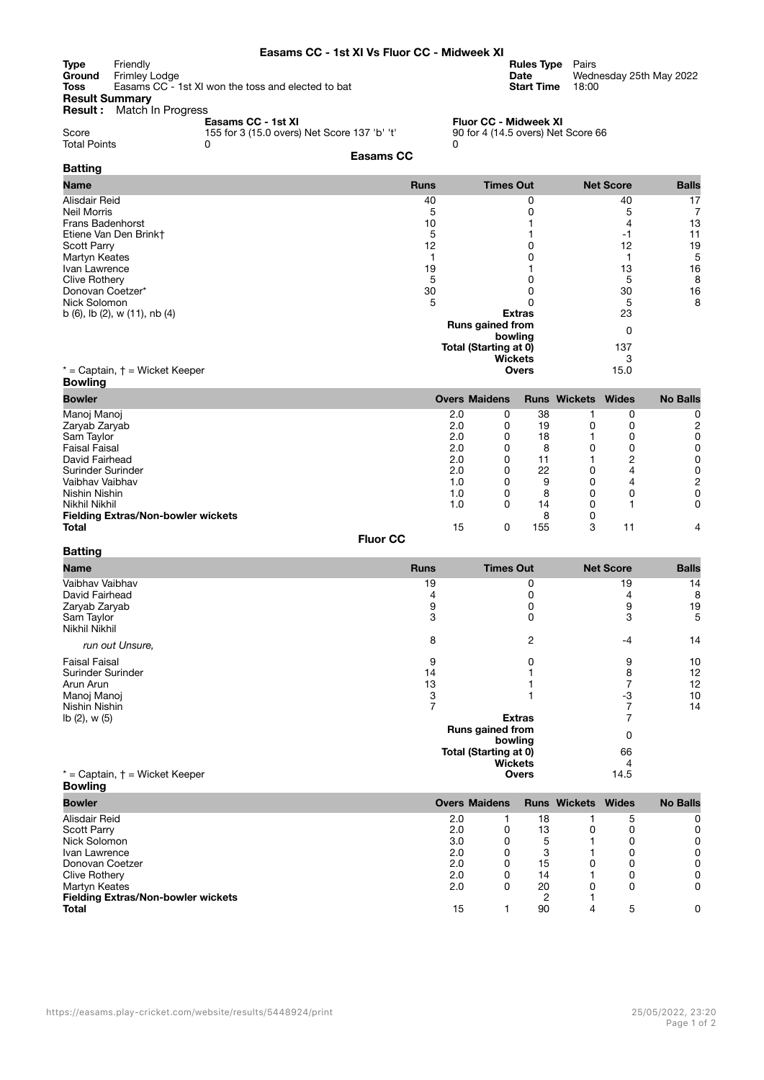## **Easams CC - 1st XI Vs Fluor CC - Midweek XI**

**Type** Friendly **Rules Type** Pairs **Ground** Frimley Lodge **Date** Wednesday 25th May 2022 **Toss** Easams CC - 1st XI won the toss and elected to bat **Start Time** 18:00

| <b>Result Summary</b> |  |
|-----------------------|--|
|                       |  |

**Result :** Match In Progress

**Easams CC - 1st XI Fluor CC - Midweek XI** Score 155 for 3 (15.0 overs) Net Score 137 'b' 't' 90 for 4 (14.5 overs) Net Score 66

| Score               | 155 for 3 (15.0 overs) Net Score 137 'b' 't' |  |
|---------------------|----------------------------------------------|--|
| <b>Total Points</b> |                                              |  |

**Batting**

**Batting**

## **Easams CC**

| <b>Name</b>                              | <b>Runs</b> | <b>Times Out</b>             | <b>Net Score</b> | <b>Balls</b> |
|------------------------------------------|-------------|------------------------------|------------------|--------------|
| Alisdair Reid                            | 40          |                              | 40               | 17           |
| Neil Morris                              |             |                              |                  |              |
| <b>Frans Badenhorst</b>                  | 10          |                              |                  | 13           |
| Etiene Van Den Brinkt                    |             |                              |                  | 11           |
| <b>Scott Parry</b>                       | 12          |                              | 12               | 19           |
| Martyn Keates                            |             |                              |                  | 5            |
| Ivan Lawrence                            | 19          |                              | 13               | 16           |
| <b>Clive Rothery</b>                     |             |                              | 5                | 8            |
| Donovan Coetzer*                         | 30          |                              | 30               | 16           |
| Nick Solomon                             | 5           |                              | 5                | 8            |
| b $(6)$ , lb $(2)$ , w $(11)$ , nb $(4)$ |             | <b>Extras</b>                | 23               |              |
|                                          |             | Runs gained from<br>bowling  | 0                |              |
|                                          |             | <b>Total (Starting at 0)</b> |                  |              |
|                                          |             | <b>Wickets</b>               |                  |              |
| $*$ = Captain, $\dagger$ = Wicket Keeper |             | <b>Overs</b>                 | 15.0             |              |
| <b>Bowling</b>                           |             |                              |                  |              |

| Bowler                                    | <b>Overs Maidens</b> |   |     | <b>Runs Wickets Wides</b> |    | <b>No Balls</b> |
|-------------------------------------------|----------------------|---|-----|---------------------------|----|-----------------|
| Manoj Manoj                               | 2.0                  | 0 | 38  |                           | 0  | 0               |
| Zaryab Zaryab                             | 2.0                  |   | 19  |                           |    |                 |
| Sam Taylor                                | 2.0                  | 0 | 18  |                           |    |                 |
| <b>Faisal Faisal</b>                      | 2.0                  | 0 | 8   | 0                         |    | ი               |
| David Fairhead                            | 2.0                  |   | 11  |                           | ◠  |                 |
| Surinder Surinder                         | 2.0                  | 0 | 22  | 0                         | 4  |                 |
| Vaibhay Vaibhay                           | 1.0                  |   | 9   |                           |    |                 |
| Nishin Nishin                             | 1.0                  |   | 8   |                           |    | ი               |
| Nikhil Nikhil                             | 1.0                  | 0 | 14  |                           |    | 0               |
| <b>Fielding Extras/Non-bowler wickets</b> |                      |   | 8   |                           |    |                 |
| <b>Total</b>                              | 15                   |   | 155 |                           | 11 |                 |

**Fluor CC**

| Name                                     | <b>Runs</b>                 | <b>Times Out</b>               | <b>Net Score</b> | <b>Balls</b> |
|------------------------------------------|-----------------------------|--------------------------------|------------------|--------------|
| Vaibhav Vaibhav                          | 19                          | 0                              | 19               | 14           |
| David Fairhead                           |                             |                                |                  | 8            |
| Zaryab Zaryab                            |                             |                                | 9                | 19           |
| Sam Taylor<br>Nikhil Nikhil              | 3                           | O                              | 3                | 5            |
| run out Unsure,                          | 8                           | 2                              | $-4$             | 14           |
| <b>Faisal Faisal</b>                     | 9                           |                                | 9                | 10           |
| Surinder Surinder                        | 14                          |                                | 8                | 12           |
| Arun Arun                                | 13                          |                                |                  | 12           |
| Manoj Manoj                              |                             |                                | -3               | 10           |
| Nishin Nishin                            |                             |                                |                  | 14           |
| lb(2), w(5)                              |                             | <b>Extras</b>                  |                  |              |
|                                          | Runs gained from<br>bowling |                                | 0                |              |
|                                          | Total (Starting at 0)       |                                |                  |              |
|                                          |                             | 4                              |                  |              |
| $*$ = Captain, $\dagger$ = Wicket Keeper |                             | <b>Wickets</b><br><b>Overs</b> | 14.5             |              |
| <b>Bowling</b>                           |                             |                                |                  |              |

| <b>Bowler</b>                             |     | <b>Overs Maidens</b> |    | <b>Runs Wickets Wides</b> |   | <b>No Balls</b> |
|-------------------------------------------|-----|----------------------|----|---------------------------|---|-----------------|
| Alisdair Reid                             | 2.0 |                      | 18 |                           | 5 | 0               |
| <b>Scott Parry</b>                        | 2.0 | 0                    | 13 | 0                         |   | 0               |
| Nick Solomon                              | 3.0 | 0                    | 5  |                           |   | 0               |
| Ivan Lawrence                             | 2.0 | 0                    | 3  |                           |   | 0               |
| Donovan Coetzer                           | 2.0 | 0                    | 15 | 0                         |   | 0               |
| Clive Rothery                             | 2.0 | 0                    | 14 |                           |   | 0               |
| Martyn Keates                             | 2.0 | 0                    | 20 | 0                         |   | 0               |
| <b>Fielding Extras/Non-bowler wickets</b> |     |                      | 2  |                           |   |                 |
| <b>Total</b>                              | 15  |                      | 90 | 4                         | 5 | $\Omega$        |